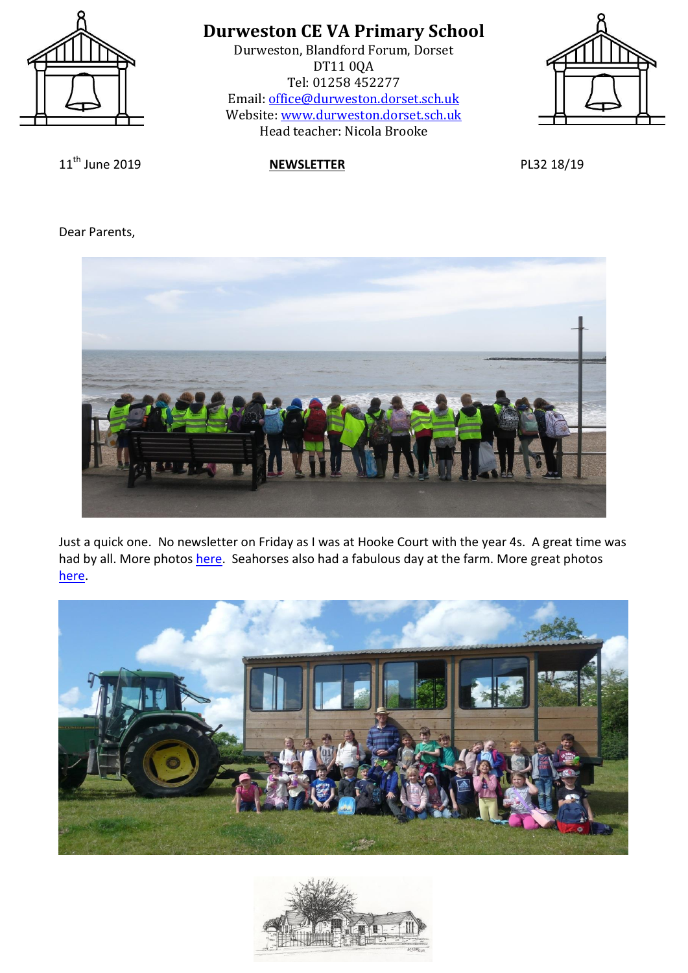

Durweston, Blandford Forum, Dorset DT11 0QA Tel: 01258 452277 Email: [office@durweston.dorset.sch.uk](mailto:office@durweston.dorset.sch.uk) Website: [www.durweston.dorset.sch.uk](http://www.durweston.dorset.sch.uk/) Head teacher: Nicola Brooke



11th June 2019 **NEWSLETTER** PL32 18/19

Dear Parents,



Just a quick one. No newsletter on Friday as I was at Hooke Court with the year 4s. A great time was had by all. More photos [here.](http://durweston-schoolblog.blogspot.com/2019/06/fours-have-fun-at-hooke-court.html) Seahorses also had a fabulous day at the farm. More great photos [here.](http://durweston-schoolblog.blogspot.com/2019/06/down-on-farm.html)



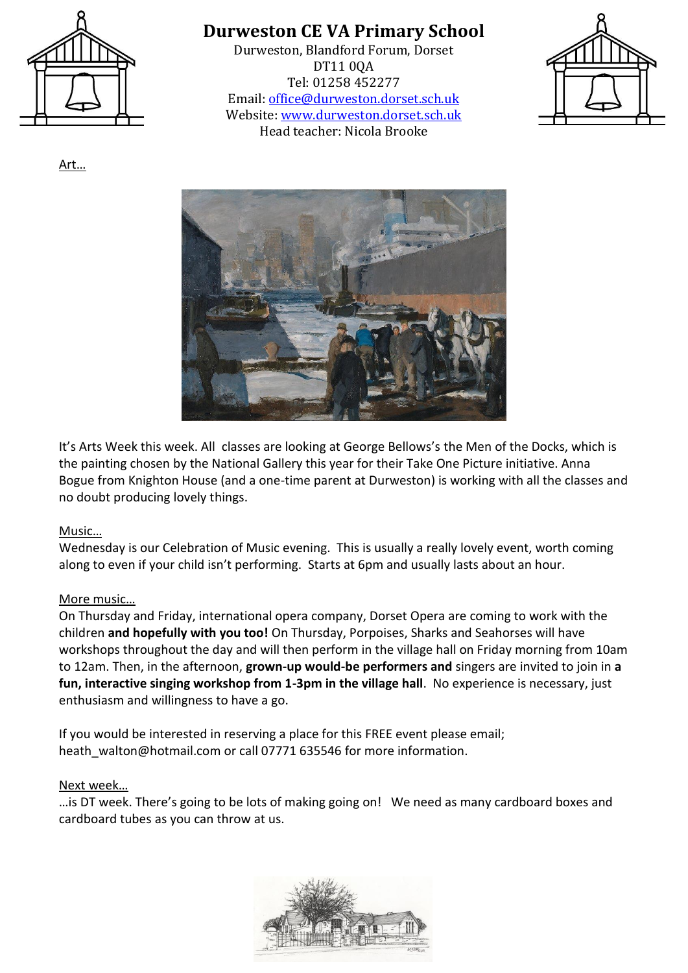

Durweston, Blandford Forum, Dorset DT11 0QA Tel: 01258 452277 Email: [office@durweston.dorset.sch.uk](mailto:office@durweston.dorset.sch.uk) Website: [www.durweston.dorset.sch.uk](http://www.durweston.dorset.sch.uk/) Head teacher: Nicola Brooke



It's Arts Week this week. All classes are looking at George Bellows's the Men of the Docks, which is the painting chosen by the National Gallery this year for their Take One Picture initiative. Anna Bogue from Knighton House (and a one-time parent at Durweston) is working with all the classes and no doubt producing lovely things.

### Music…

Wednesday is our Celebration of Music evening. This is usually a really lovely event, worth coming along to even if your child isn't performing. Starts at 6pm and usually lasts about an hour.

### More music…

On Thursday and Friday, international opera company, Dorset Opera are coming to work with the children **and hopefully with you too!** On Thursday, Porpoises, Sharks and Seahorses will have workshops throughout the day and will then perform in the village hall on Friday morning from 10am to 12am. Then, in the afternoon, **grown-up would-be performers and** singers are invited to join in **a fun, interactive singing workshop from 1-3pm in the village hall**. No experience is necessary, just enthusiasm and willingness to have a go.

If you would be interested in reserving a place for this FREE event please email; heath\_walton@hotmail.com or call 07771 635546 for more information.

#### Next week…

…is DT week. There's going to be lots of making going on! We need as many cardboard boxes and cardboard tubes as you can throw at us.



Art…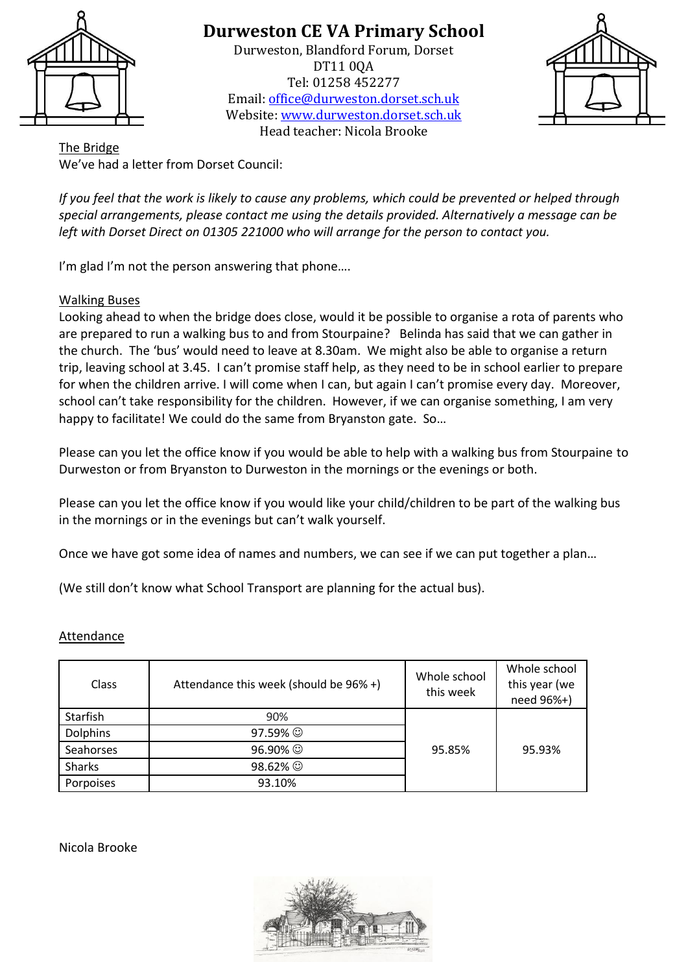

Durweston, Blandford Forum, Dorset DT11 0QA Tel: 01258 452277 Email: [office@durweston.dorset.sch.uk](mailto:office@durweston.dorset.sch.uk) Website: [www.durweston.dorset.sch.uk](http://www.durweston.dorset.sch.uk/) Head teacher: Nicola Brooke



The Bridge We've had a letter from Dorset Council:

*If you feel that the work is likely to cause any problems, which could be prevented or helped through special arrangements, please contact me using the details provided. Alternatively a message can be left with Dorset Direct on 01305 221000 who will arrange for the person to contact you.*

I'm glad I'm not the person answering that phone....

## Walking Buses

Looking ahead to when the bridge does close, would it be possible to organise a rota of parents who are prepared to run a walking bus to and from Stourpaine? Belinda has said that we can gather in the church. The 'bus' would need to leave at 8.30am. We might also be able to organise a return trip, leaving school at 3.45. I can't promise staff help, as they need to be in school earlier to prepare for when the children arrive. I will come when I can, but again I can't promise every day. Moreover, school can't take responsibility for the children. However, if we can organise something, I am very happy to facilitate! We could do the same from Bryanston gate. So…

Please can you let the office know if you would be able to help with a walking bus from Stourpaine to Durweston or from Bryanston to Durweston in the mornings or the evenings or both.

Please can you let the office know if you would like your child/children to be part of the walking bus in the mornings or in the evenings but can't walk yourself.

Once we have got some idea of names and numbers, we can see if we can put together a plan…

(We still don't know what School Transport are planning for the actual bus).

### **Attendance**

| Class           | Attendance this week (should be 96% +) | Whole school<br>this week | Whole school<br>this year (we<br>need 96%+) |
|-----------------|----------------------------------------|---------------------------|---------------------------------------------|
| Starfish        | 90%                                    |                           |                                             |
| <b>Dolphins</b> | 97.59% ⓒ                               |                           |                                             |
| Seahorses       | 96.90% ©                               | 95.85%                    | 95.93%                                      |
| <b>Sharks</b>   | 98.62% ©                               |                           |                                             |
| Porpoises       | 93.10%                                 |                           |                                             |

Nicola Brooke